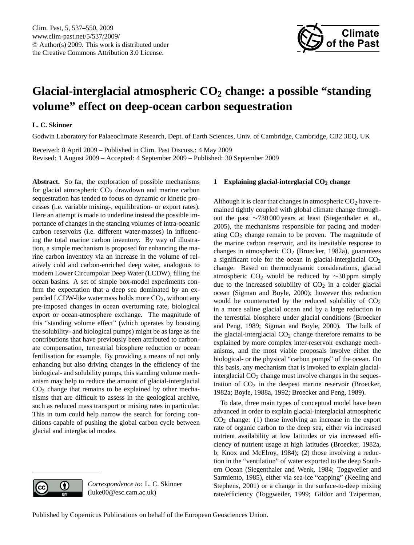

# <span id="page-0-0"></span>**Glacial-interglacial atmospheric CO<sup>2</sup> change: a possible "standing volume" effect on deep-ocean carbon sequestration**

# **L. C. Skinner**

Godwin Laboratory for Palaeoclimate Research, Dept. of Earth Sciences, Univ. of Cambridge, Cambridge, CB2 3EQ, UK

Received: 8 April 2009 – Published in Clim. Past Discuss.: 4 May 2009 Revised: 1 August 2009 – Accepted: 4 September 2009 – Published: 30 September 2009

**Abstract.** So far, the exploration of possible mechanisms for glacial atmospheric  $CO<sub>2</sub>$  drawdown and marine carbon sequestration has tended to focus on dynamic or kinetic processes (i.e. variable mixing-, equilibration- or export rates). Here an attempt is made to underline instead the possible importance of changes in the standing volumes of intra-oceanic carbon reservoirs (i.e. different water-masses) in influencing the total marine carbon inventory. By way of illustration, a simple mechanism is proposed for enhancing the marine carbon inventory via an increase in the volume of relatively cold and carbon-enriched deep water, analogous to modern Lower Circumpolar Deep Water (LCDW), filling the ocean basins. A set of simple box-model experiments confirm the expectation that a deep sea dominated by an expanded LCDW-like watermass holds more  $CO<sub>2</sub>$ , without any pre-imposed changes in ocean overturning rate, biological export or ocean-atmosphere exchange. The magnitude of this "standing volume effect" (which operates by boosting the solubility- and biological pumps) might be as large as the contributions that have previously been attributed to carbonate compensation, terrestrial biosphere reduction or ocean fertilisation for example. By providing a means of not only enhancing but also driving changes in the efficiency of the biological- and solubility pumps, this standing volume mechanism may help to reduce the amount of glacial-interglacial  $CO<sub>2</sub>$  change that remains to be explained by other mechanisms that are difficult to assess in the geological archive, such as reduced mass transport or mixing rates in particular. This in turn could help narrow the search for forcing conditions capable of pushing the global carbon cycle between glacial and interglacial modes.

# **1 Explaining glacial-interglacial CO<sup>2</sup> change**

Although it is clear that changes in atmospheric  $CO<sub>2</sub>$  have remained tightly coupled with global climate change throughout the past ∼730 000 years at least (Siegenthaler et al., 2005), the mechanisms responsible for pacing and moderating  $CO<sub>2</sub>$  change remain to be proven. The magnitude of the marine carbon reservoir, and its inevitable response to changes in atmospheric  $CO<sub>2</sub>$  (Broecker, 1982a), guarantees a significant role for the ocean in glacial-interglacial  $CO<sub>2</sub>$ change. Based on thermodynamic considerations, glacial atmospheric CO<sub>2</sub> would be reduced by  $\sim$ 30 ppm simply due to the increased solubility of  $CO<sub>2</sub>$  in a colder glacial ocean (Sigman and Boyle, 2000); however this reduction would be counteracted by the reduced solubility of  $CO<sub>2</sub>$ in a more saline glacial ocean and by a large reduction in the terrestrial biosphere under glacial conditions (Broecker and Peng, 1989; Sigman and Boyle, 2000). The bulk of the glacial-interglacial  $CO<sub>2</sub>$  change therefore remains to be explained by more complex inter-reservoir exchange mechanisms, and the most viable proposals involve either the biological- or the physical "carbon pumps" of the ocean. On this basis, any mechanism that is invoked to explain glacialinterglacial  $CO<sub>2</sub>$  change must involve changes in the sequestration of  $CO<sub>2</sub>$  in the deepest marine reservoir (Broecker, 1982a; Boyle, 1988a, 1992; Broecker and Peng, 1989).

To date, three main types of conceptual model have been advanced in order to explain glacial-interglacial atmospheric CO<sup>2</sup> change: (1) those involving an increase in the export rate of organic carbon to the deep sea, either via increased nutrient availability at low latitudes or via increased efficiency of nutrient usage at high latitudes (Broecker, 1982a, b; Knox and McElroy, 1984); (2) those involving a reduction in the "ventilation" of water exported to the deep Southern Ocean (Siegenthaler and Wenk, 1984; Toggweiler and Sarmiento, 1985), either via sea-ice "capping" (Keeling and Stephens, 2001) or a change in the surface-to-deep mixing rate/efficiency (Toggweiler, 1999; Gildor and Tziperman,

(luke00@esc.cam.ac.uk)

 $\left( \cdot \right)$ 

*Correspondence to:* L. C. Skinner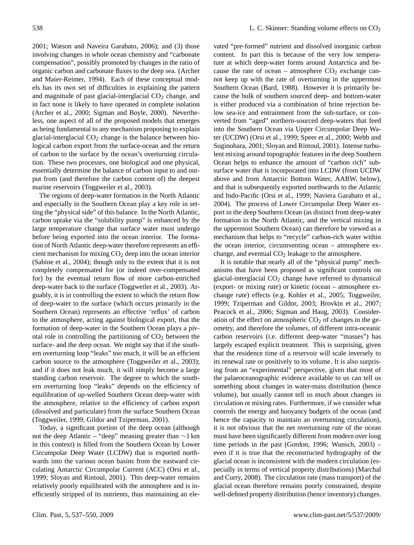2001; Watson and Naveira Garabato, 2006); and (3) those involving changes in whole ocean chemistry and "carbonate compensation", possibly promoted by changes in the ratio of organic carbon and carbonate fluxes to the deep sea. (Archer and Maier-Reimer, 1994). Each of these conceptual models has its own set of difficulties in explaining the pattern and magnitude of past glacial-interglacial  $CO<sub>2</sub>$  change, and in fact none is likely to have operated in complete isolation (Archer et al., 2000; Sigman and Boyle, 2000). Nevertheless, one aspect of all of the proposed models that emerges as being fundamental to any mechanism proposing to explain glacial-interglacial  $CO<sub>2</sub>$  change is the balance between biological carbon export from the surface-ocean and the return of carbon to the surface by the ocean's overturning circulation. These two processes, one biological and one physical, essentially determine the balance of carbon input to and output from (and therefore the carbon content of) the deepest marine reservoirs (Toggweiler et al., 2003).

The regions of deep-water formation in the North Atlantic and especially in the Southern Ocean play a key role in setting the "physical side" of this balance. In the North Atlantic, carbon uptake via the "solubility pump" is enhanced by the large temperature change that surface water must undergo before being exported into the ocean interior. The formation of North Atlantic deep-water therefore represents an efficient mechanism for mixing  $CO<sub>2</sub>$  deep into the ocean interior (Sabine et al., 2004); though only to the extent that it is not completely compensated for (or indeed over-compensated for) by the eventual return flow of more carbon-enriched deep-water back to the surface (Toggweiler et al., 2003). Arguably, it is in controlling the extent to which the return flow of deep-water to the surface (which occurs primarily in the Southern Ocean) represents an effective 'reflux' of carbon to the atmosphere, acting against biological export, that the formation of deep-water in the Southern Ocean plays a pivotal role in controlling the partitioning of  $CO<sub>2</sub>$  between the surface- and the deep ocean. We might say that if the southern overturning loop "leaks" too much, it will be an efficient carbon source to the atmosphere (Toggweiler et al., 2003); and if it does not leak much, it will simply become a large standing carbon reservoir. The degree to which the southern overturning loop "leaks" depends on the efficiency of equilibration of up-welled Southern Ocean deep-water with the atmosphere, relative to the efficiency of carbon export (dissolved and particulate) from the surface Southern Ocean (Toggweiler, 1999; Gildor and Tziperman, 2001).

Today, a significant portion of the deep ocean (although not the deep Atlantic – "deep" meaning greater than ∼1 km in this context) is filled from the Southern Ocean by Lower Circumpolar Deep Water (LCDW) that is exported northwards into the various ocean basins from the eastward circulating Antarctic Circumpolar Current (ACC) (Orsi et al., 1999; Sloyan and Rintoul, 2001). This deep-water remains relatively poorly equilibrated with the atmosphere and is inefficiently stripped of its nutrients, thus maintaining an ele-

vated "pre-formed" nutrient and dissolved inorganic carbon content. In part this is because of the very low temperature at which deep-water forms around Antarctica and because the rate of ocean – atmosphere  $CO<sub>2</sub>$  exchange cannot keep up with the rate of overturning in the uppermost Southern Ocean (Bard, 1988). However it is primarily because the bulk of southern sourced deep- and bottom-water is either produced via a combination of brine rejection below sea-ice and entrainment from the sub-surface, or converted from "aged" northern-sourced deep-waters that feed into the Southern Ocean via Upper Circumpolar Deep Water (UCDW) (Orsi et al., 1999; Speer et al., 2000; Webb and Suginohara, 2001; Sloyan and Rintoul, 2001). Intense turbulent mixing around topographic features in the deep Southern Ocean helps to enhance the amount of "carbon rich" subsurface water that is incorporated into LCDW (from UCDW above and from Antarctic Bottom Water, AABW, below), and that is subsequently exported northwards to the Atlantic and Indo-Pacific (Orsi et al., 1999; Naviera Garabato et al., 2004). The process of Lower Circumpolar Deep Water export in the deep Southern Ocean (as distinct from deep-water formation in the North Atlantic, and the vertical mixing in the uppermost Southern Ocean) can therefore be viewed as a mechanism that helps to "recycle" carbon-rich water within the ocean interior, circumventing ocean – atmosphere exchange, and eventual  $CO<sub>2</sub>$  leakage to the atmosphere.

It is notable that nearly all of the "physical pump" mechanisms that have been proposed as significant controls on glacial-interglacial  $CO<sub>2</sub>$  change have referred to dynamical (export- or mixing *rate*) or kinetic (ocean – atmosphere exchange *rate*) effects (e.g. Kohler et al., 2005; Toggweiler, 1999; Tziperman and Gildor, 2003; Brovkin et al., 2007; Peacock et al., 2006; Sigman and Haug, 2003). Consideration of the effect on atmospheric  $CO<sub>2</sub>$  of changes in the geometry, and therefore the *volumes*, of different intra-oceanic carbon reservoirs (i.e. different deep-water "masses") has largely escaped explicit treatment. This is surprising, given that the residence time of a reservoir will scale inversely to its renewal rate or positively to its volume. It is also surprising from an "experimental" perspective, given that most of the palaeoceanographic evidence available to us can tell us something about changes in water-mass distribution (hence volume), but usually cannot tell us much about changes in circulation or mixing rates. Furthermore, if we consider what controls the energy and buoyancy budgets of the ocean (and hence the capacity to maintain an overturning circulation), it is not obvious that the net overturning *rate* of the ocean must have been significantly different from modern over long time periods in the past (Gordon, 1996; Wunsch, 2003) – even if it is true that the reconstructed hydrography of the glacial ocean is inconsistent with the modern circulation (especially in terms of vertical property distributions) (Marchal and Curry, 2008). The circulation rate (mass transport) of the glacial ocean therefore remains poorly constrained, despite well-defined property distribution (hence inventory) changes.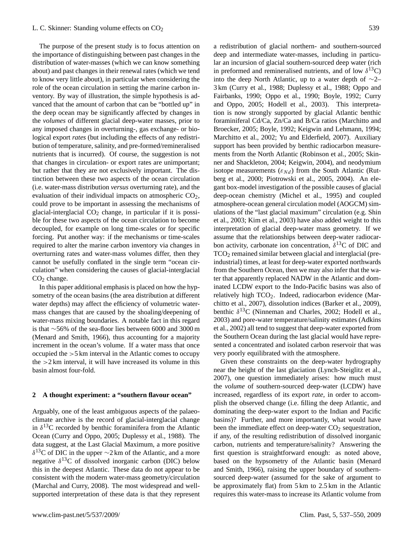The purpose of the present study is to focus attention on the importance of distinguishing between past changes in the distribution of water-masses (which we can know something about) and past changes in their renewal rates (which we tend to know very little about), in particular when considering the role of the ocean circulation in setting the marine carbon inventory. By way of illustration, the simple hypothesis is advanced that the amount of carbon that can be "bottled up" in the deep ocean may be significantly affected by changes in the *volumes* of different glacial deep-water masses, prior to any imposed changes in overturning-, gas exchange- or biological export *rates* (but including the effects of any redistribution of temperature, salinity, and pre-formed/remineralised nutrients that is incurred). Of course, the suggestion is not that changes in circulation- or export rates are unimportant; but rather that they are not exclusively important. The distinction between these two aspects of the ocean circulation (i.e. water-mass distribution *versus* overturning rate), and the evaluation of their individual impacts on atmospheric  $CO<sub>2</sub>$ , could prove to be important in assessing the mechanisms of glacial-interglacial  $CO<sub>2</sub>$  change, in particular if it is possible for these two aspects of the ocean circulation to become decoupled, for example on long time-scales or for specific forcing. Put another way: if the mechanisms or time-scales required to alter the marine carbon inventory via changes in overturning rates and water-mass volumes differ, then they cannot be usefully conflated in the single term "ocean circulation" when considering the causes of glacial-interglacial  $CO<sub>2</sub>$  change.

In this paper additional emphasis is placed on how the hypsometry of the ocean basins (the area distribution at different water depths) may affect the efficiency of volumetric watermass changes that are caused by the shoaling/deepening of water-mass mixing boundaries. A notable fact in this regard is that ∼56% of the sea-floor lies between 6000 and 3000 m (Menard and Smith, 1966), thus accounting for a majority increment in the ocean's volume. If a water mass that once occupied the >5 km interval in the Atlantic comes to occupy the  $>2$  km interval, it will have increased its volume in this basin almost four-fold.

# **2 A thought experiment: a "southern flavour ocean"**

Arguably, one of the least ambiguous aspects of the palaeoclimate archive is the record of glacial-interglacial change in  $\delta^{13}$ C recorded by benthic foraminifera from the Atlantic Ocean (Curry and Oppo, 2005; Duplessy et al., 1988). The data suggest, at the Last Glacial Maximum, a more positive  $\delta^{13}$ C of DIC in the upper ∼2 km of the Atlantic, and a more negative  $\delta^{13}$ C of dissolved inorganic carbon (DIC) below this in the deepest Atlantic. These data do not appear to be consistent with the modern water-mass geometry/circulation (Marchal and Curry, 2008). The most widespread and wellsupported interpretation of these data is that they represent a redistribution of glacial northern- and southern-sourced deep and intermediate water-masses, including in particular an incursion of glacial southern-sourced deep water (rich in preformed and remineralised nutrients, and of low  $\delta^{13}$ C) into the deep North Atlantic, up to a water depth of ∼2– 3 km (Curry et al., 1988; Duplessy et al., 1988; Oppo and Fairbanks, 1990; Oppo et al., 1990; Boyle, 1992; Curry and Oppo, 2005; Hodell et al., 2003). This interpretation is now strongly supported by glacial Atlantic benthic foraminiferal Cd/Ca, Zn/Ca and B/Ca ratios (Marchitto and Broecker, 2005; Boyle, 1992; Keigwin and Lehmann, 1994; Marchitto et al., 2002; Yu and Elderfield, 2007). Auxiliary support has been provided by benthic radiocarbon measurements from the North Atlantic (Robinson et al., 2005; Skinner and Shackleton, 2004; Keigwin, 2004), and neodymium isotope measurements ( $\varepsilon_{Nd}$ ) from the South Atlantic (Rutberg et al., 2000; Piotrowski et al., 2005, 2004). An elegant box-model investigation of the possible causes of glacial deep-ocean chemistry (Michel et al., 1995) and coupled atmosphere-ocean general circulation model (AOGCM) simulations of the "last glacial maximum" circulation (e.g. Shin et al., 2003; Kim et al., 2003) have also added weight to this interpretation of glacial deep-water mass geometry. If we assume that the relationships between deep-water radiocarbon activity, carbonate ion concentration,  $\delta^{13}$ C of DIC and TCO<sup>2</sup> remained similar between glacial and interglacial (preindustrial) times, at least for deep-water exported northwards from the Southern Ocean, then we may also infer that the water that apparently replaced NADW in the Atlantic and dominated LCDW export to the Indo-Pacific basins was also of relatively high TCO<sub>2</sub>. Indeed, radiocarbon evidence (Marchitto et al., 2007), dissolution indices (Barker et al., 2009), benthic  $\delta^{13}$ C (Ninneman and Charles, 2002; Hodell et al., 2003) and pore-water temperature/salinity estimates (Adkins et al., 2002) all tend to suggest that deep-water exported from the Southern Ocean during the last glacial would have represented a concentrated and isolated carbon reservoir that was very poorly equilibrated with the atmosphere.

Given these constraints on the deep-water hydrography near the height of the last glaciation (Lynch-Steiglitz et al., 2007), one question immediately arises: how much must the *volume* of southern-sourced deep-water (LCDW) have increased, regardless of its export *rate*, in order to accomplish the observed change (i.e. filling the deep Atlantic, and dominating the deep-water export to the Indian and Pacific basins)? Further, and more importantly, what would have been the immediate effect on deep-water  $CO<sub>2</sub>$  sequestration, if any, of the resulting redistribution of dissolved inorganic carbon, nutrients and temperature/salinity? Answering the first question is straightforward enough: as noted above, based on the hypsometry of the Atlantic basin (Menard and Smith, 1966), raising the upper boundary of southernsourced deep-water (assumed for the sake of argument to be approximately flat) from 5 km to 2.5 km in the Atlantic requires this water-mass to increase its Atlantic volume from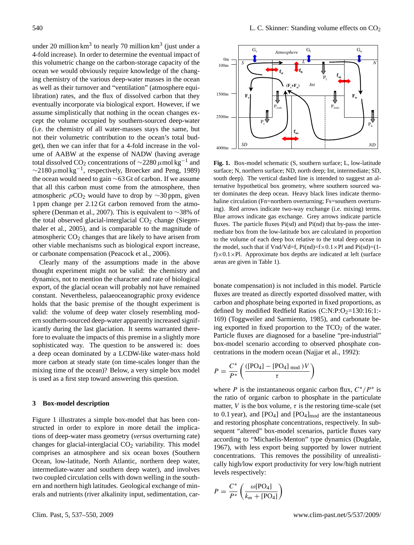under 20 million  $km^3$  to nearly 70 million  $km^3$  (just under a 4-fold increase). In order to determine the eventual impact of this volumetric change on the carbon-storage capacity of the ocean we would obviously require knowledge of the changing chemistry of the various deep-water masses in the ocean as well as their turnover and "ventilation" (atmosphere equilibration) rates, and the flux of dissolved carbon that they eventually incorporate via biological export. However, if we assume simplistically that nothing in the ocean changes except the volume occupied by southern-sourced deep-water (i.e. the chemistry of all water-masses stays the same, but not their volumetric contribution to the ocean's total budget), then we can infer that for a 4-fold increase in the volume of AABW at the expense of NADW (having average total dissolved CO<sub>2</sub> concentrations of  $\sim$ 2280 μmol kg<sup>-1</sup> and  $\sim$ 2180  $\mu$ mol kg<sup>-1</sup>, respectively, Broecker and Peng, 1989) the ocean would need to gain ∼63 Gt of carbon. If we assume that all this carbon must come from the atmosphere, then atmospheric  $pCO_2$  would have to drop by ∼30 ppm, given 1 ppm change per 2.12 Gt carbon removed from the atmosphere (Denman et al., 2007). This is equivalent to ∼38% of the total observed glacial-interglacial  $CO<sub>2</sub>$  change (Siegenthaler et al., 2005), and is comparable to the magnitude of atmospheric  $CO<sub>2</sub>$  changes that are likely to have arisen from other viable mechanisms such as biological export increase, or carbonate compensation (Peacock et al., 2006).

Clearly many of the assumptions made in the above thought experiment might not be valid: the chemistry and dynamics, not to mention the character and rate of biological export, of the glacial ocean will probably not have remained constant. Nevertheless, palaeoceanographic proxy evidence holds that the basic premise of the thought experiment is valid: the volume of deep water closely resembling modern southern-sourced deep-water apparently increased significantly during the last glaciation. It seems warranted therefore to evaluate the impacts of this premise in a slightly more sophisticated way. The question to be answered is: does a deep ocean dominated by a LCDW-like water-mass hold more carbon at steady state (on time-scales longer than the mixing time of the ocean)? Below, a very simple box model is used as a first step toward answering this question.

### **3 Box-model description**

Figure 1 illustrates a simple box-model that has been constructed in order to explore in more detail the implications of deep-water mass geometry (*versus* overturning rate) changes for glacial-interglacial  $CO<sub>2</sub>$  variability. This model comprises an atmosphere and six ocean boxes (Southern Ocean, low-latitude, North Atlantic, northern deep water, intermediate-water and southern deep water), and involves two coupled circulation cells with down welling in the southern and northern high latitudes. Geological exchange of minerals and nutrients (river alkalinity input, sedimentation, car-



Fig. 1. Box-model schematic (S, southern surface; L, low-latitude surface; N, northern surface; ND, north deep; Int, intermediate; SD, south deep). The vertical dashed line is intended to suggest an alternative hypothetical box geometry, where southern sourced water dominates the deep ocean. Heavy black lines indicate thermohaline circulation (Fn=northern overturning; Fs=southern overturning). Red arrows indicate two-way exchange (i.e. mixing) terms. Blue arrows indicate gas exchange. Grey arrows indicate particle fluxes. The particle fluxes Pi(sd) and Pi(nd) that by-pass the intermediate box from the low-latitude box are calculated in proportion to the volume of each deep box relative to the total deep ocean in the model, such that if Vnd/Vd=f,  $Pi(nd)=f\times 0.1\times Pl$  and  $Pi(sd)=(1$ f) $\times$ 0.1 $\times$ Pl. Approximate box depths are indicated at left (surface areas are given in Table 1).

fluxes are treated as directly exported dissolved matter, with bonate compensation) is not included in this model. Particle carbon and phosphate being exported in fixed proportions, as defined by modified Redfield Ratios  $(C:N:P:O<sub>2</sub>=130:16:1:-$ 169) (Toggweiler and Sarmiento, 1985), and carbonate being exported in fixed proportion to the  $TCO<sub>2</sub>$  of the water. Particle fluxes are diagnosed for a baseline "pre-industrial" box-model scenario according to observed phosphate concentrations in the modern ocean (Najjar et al., 1992):

$$
P = \frac{C^*}{P^*} \left( \frac{(\text{[PO}_4] - \text{[PO}_4] \text{ mod })V}{\tau} \right)
$$

where P is the instantaneous organic carbon flux,  $C^*/P^*$  is the ratio of organic carbon to phosphate in the particulate matter, V is the box volume,  $\tau$  is the restoring time-scale (set to 0.1 year), and  $[PO_4]$  and  $[PO_4]_{mod}$  are the instantaneous and restoring phosphate concentrations, respectively. In subsequent "altered" box-model scenarios, particle fluxes vary according to "Michaelis-Menton" type dynamics (Dugdale, 1967), with less export being supported by lower nutrient concentrations. This removes the possibility of unrealistically high/low export productivity for very low/high nutrient levels respectively:

$$
P = \frac{C^*}{P^*} \left( \frac{\omega[\text{PO}_4]}{k_m + [\text{PO}_4]} \right)
$$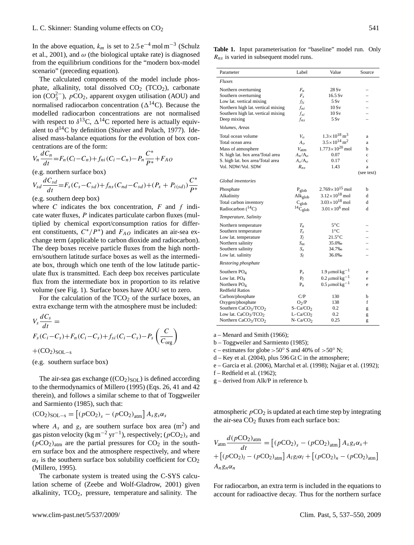In the above equation,  $k_m$  is set to 2.5 e<sup>-4</sup> mol m<sup>-3</sup> (Schulz et al., 2001), and  $\omega$  (the biological uptake rate) is diagnosed from the equilibrium conditions for the "modern box-model scenario" (preceding equation).

The calculated components of the model include phosphate, alkalinity, total dissolved  $CO<sub>2</sub>$  (TCO<sub>2</sub>), carbonate ion ( $CO_3^{2-}$ ),  $pCO_2$ , apparent oxygen utilisation (AOU) and normalised radiocarbon concentration ( $\Delta^{14}$ C). Because the modelled radiocarbon concentrations are not normalised with respect to  $\delta^{13}C$ ,  $\Delta^{14}C$  reported here is actually equivalent to  $d^{14}C$  by definition (Stuiver and Polach, 1977). Idealised mass-balance equations for the evolution of box concentrations are of the form:

$$
V_n \frac{dC_n}{dt} = F_n(C_l - C_n) + f_{ni}(C_i - C_n) - P_n \frac{C^*}{P^*} + F_{AO}
$$

(e.g. northern surface box)

$$
V_{sd}\frac{dC_{sd}}{dt} = F_s(C_s - C_{sd}) + f_{ns}(C_{nd} - C_{sd}) + (P_s + P_{i(sd)})\frac{C^*}{P^*}
$$

(e.g. southern deep box)

where  $C$  indicates the box concentration,  $F$  and  $f$  indicate water fluxes, P indicates particulate carbon fluxes (multiplied by chemical export/consumption ratios for different constituents,  $C^*/P^*$ ) and  $F_{AO}$  indicates an air-sea exchange term (applicable to carbon dioxide and radiocarbon). The deep boxes receive particle fluxes from the high northern/southern latitude surface boxes as well as the intermediate box, through which one tenth of the low latitude particulate flux is transmitted. Each deep box receives particulate flux from the intermediate box in proportion to its relative volume (see Fig. 1). Surface boxes have AOU set to zero.

For the calculation of the  $TCO<sub>2</sub>$  of the surface boxes, an extra exchange term with the atmosphere must be included:

$$
V_s \frac{dC_s}{dt} =
$$
  
\n
$$
F_s(C_i - C_s) + F_n(C_i - C_s) + f_{si}(C_i - C_s) - P_s\left(\frac{C}{C_{org}}\right)
$$
  
\n+ (CO<sub>2</sub>)<sub>SOL-s</sub>

(e.g. southern surface box)

The air-sea gas exchange  $((CO<sub>2</sub>)<sub>SOL</sub>)$  is defined according to the thermodynamics of Millero (1995) (Eqs. 26, 41 and 42 therein), and follows a similar scheme to that of Toggweiler and Sarmiento (1985), such that:

$$
(\text{CO}_2)_{\text{SOL}-\text{s}} = \left[ (p\text{CO}_2)_s - (p\text{CO}_2)_{\text{atm}} \right] A_s g_s \alpha_s
$$

where  $A_s$  and  $g_s$  are southern surface box area (m<sup>2</sup>) and gas piston velocity (kg m<sup>-2</sup> yr<sup>-1</sup>), respectively; ( $pCO_2$ )<sub>s</sub> and  $(pCO<sub>2</sub>)<sub>atm</sub>$  are the partial pressures for  $CO<sub>2</sub>$  in the southern surface box and the atmosphere respectively, and where  $\alpha_s$  is the southern surface box solubility coefficient for  $CO_2$ (Millero, 1995).

The carbonate system is treated using the C-SYS calculation scheme of (Zeebe and Wolf-Gladrow, 2001) given alkalinity,  $TCO<sub>2</sub>$ , pressure, temperature and salinity. The

**Table 1.** Input parameterisation for "baseline" model run. Only  $R_{ns}$  is varied in subsequent model runs.

| Parameter                                                                                                                                                           | Label                                                                               | Value                                                                                                                          | Source                                                   |
|---------------------------------------------------------------------------------------------------------------------------------------------------------------------|-------------------------------------------------------------------------------------|--------------------------------------------------------------------------------------------------------------------------------|----------------------------------------------------------|
| <b>Fluxes</b>                                                                                                                                                       |                                                                                     |                                                                                                                                |                                                          |
| Northern overturning<br>Southern overturning<br>Low lat. vertical mixing<br>Northern high lat. vertical mixing<br>Southern high lat. vertical mixing<br>Deep mixing | $F_n$<br>$F_s$<br>fii<br>$f_{ni}$<br>$f_{si}$<br>$f_{ns}$                           | 28Sv<br>16.5 Sv<br>5 S v<br>10Sv<br>10Sv<br>5 Sv                                                                               |                                                          |
| Volumes, Areas                                                                                                                                                      |                                                                                     |                                                                                                                                |                                                          |
| Total ocean volume<br>Total ocean area<br>Mass of atmosphere<br>N. high lat. box area/Total area<br>S. high lat. box area/Total area<br>Vol. NDW/Vol. SDW           | $V_o$<br>A <sub>o</sub><br>$V_{\text{atm}}$<br>$A_n/A_o$<br>$A_s/A_o$<br>$R_{ns}$   | $1.3 \times 10^{18}$ m <sup>3</sup><br>$3.5 \times 10^{14}$ m <sup>2</sup><br>$1.773\times10^{20}$ mol<br>0.07<br>0.17<br>1.43 | a<br>a<br>h<br>Ċ<br>$\ddot{\text{c}}$<br>a<br>(see text) |
| Global inventories                                                                                                                                                  |                                                                                     |                                                                                                                                |                                                          |
| Phosphate<br>Alkalinity<br>Total carbon inventory<br>Radiocarbon $(^{14}C)$                                                                                         | $P_{\text{glob}}$<br>$\rm Alk_{glob}$<br>$C_{\text{glob}}$<br>${}^{14}C_{\rm glob}$ | $2.769\times10^{15}$ mol<br>$3.12 \times 10^{18}$ mol<br>$3.03\times10^{18}$ mol<br>$3.01 \times 10^6$ mol                     | h<br>đ<br>d<br>d                                         |
| Temperature, Salinity                                                                                                                                               |                                                                                     |                                                                                                                                |                                                          |
| Northern temperature<br>Southern temperature<br>Low lat. temperature<br>Northern salinity<br>Southern salinity<br>Low lat. salinity                                 | $T_n$<br>$T_{S}$<br>$T_I$<br>$S_m$<br>$S_{S}$<br>S1                                 | 5°C<br>$1^{\circ}C$<br>$21.5^{\circ}$ C<br>35.0%<br>34.7%<br>36.0%                                                             | L,                                                       |
| Restoring phosphate                                                                                                                                                 |                                                                                     |                                                                                                                                |                                                          |
| Southern $PO4$<br>Low lat. PO <sub>4</sub><br>Northern PO <sub>4</sub><br><b>Redfield Ratios</b>                                                                    | $P_{S}$<br>$P_I$<br>$P_n$                                                           | 1.9 $\mu$ mol kg <sup>-1</sup><br>0.2 $\mu$ mol kg <sup>-1</sup><br>0.5 $\mu$ mol kg <sup>-1</sup>                             | e<br>e<br>e                                              |
| Carbon/phosphate<br>Oxygen/phosphate<br>Southern CaCO <sub>3</sub> /TCO <sub>2</sub><br>Low lat. $CaCO3/TCO2$<br>Northern CaCO <sub>3</sub> /TCO <sub>2</sub>       | C/P<br>O <sub>2</sub> /P<br>$S-Ca/CO2$<br>$L$ -Ca/CO <sub>2</sub><br>$N - Ca/CO2$   | 130<br>138<br>0.2<br>0.2<br>0.25                                                                                               | b<br>f<br>g<br>g<br>g                                    |

a – Menard and Smith (1966);

b – Toggweiler and Sarmiento (1985);

c – estimates for globe >50 $\degree$  S and 40% of >50 $\degree$  N;

 $d - Key$  et al. (2004), plus 596 Gt C in the atmosphere;

e – Garcia et al. (2006), Marchal et al. (1998); Najjar et al. (1992);

f – Redfield et al. (1962);

g – derived from Alk/P in reference b.

atmospheric  $pCO_2$  is updated at each time step by integrating the air-sea  $CO<sub>2</sub>$  fluxes from each surface box:

$$
V_{\text{atm}} \frac{d(p\text{CO}_2)_{\text{atm}}}{dt} = \left[ (p\text{CO}_2)_s - (p\text{CO}_2)_{\text{atm}} \right] A_s g_s \alpha_s +
$$

$$
+ \left[ (p\text{CO}_2)_l - (p\text{CO}_2)_{\text{atm}} \right] A_l g_l \alpha_l + \left[ (p\text{CO}_2)_n - (p\text{CO}_2)_{\text{atm}} \right]
$$

$$
A_n g_n \alpha_n
$$

For radiocarbon, an extra term is included in the equations to account for radioactive decay. Thus for the northern surface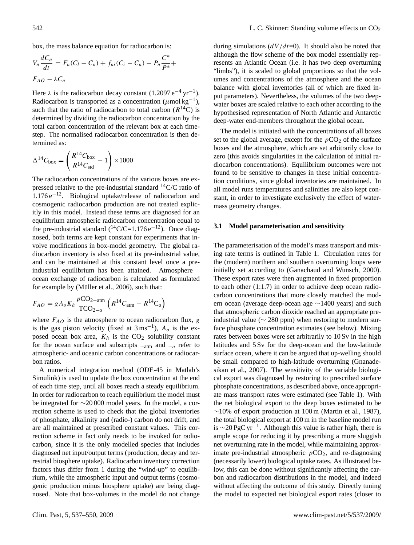box, the mass balance equation for radiocarbon is:

$$
V_n \frac{dC_n}{dt} = F_n(C_l - C_n) + f_{ni}(C_i - C_n) - P_n \frac{C^*}{P^*} + F_{AO} - \lambda C_n
$$

Here  $\lambda$  is the radiocarbon decay constant (1.2097 e<sup>-4</sup> yr<sup>-1</sup>). Radiocarbon is transported as a concentration ( $\mu$ mol kg<sup>-1</sup>), such that the ratio of radiocarbon to total carbon  $(R^{14}C)$  is determined by dividing the radiocarbon concentration by the total carbon concentration of the relevant box at each timestep. The normalised radiocarbon concentration is then determined as:

$$
\Delta^{14}C_{\text{box}} = \left(\frac{R^{14}C_{\text{box}}}{R^{14}C_{\text{std}}} - 1\right) \times 1000
$$

The radiocarbon concentrations of the various boxes are expressed relative to the pre-industrial standard  $^{14}$ C/C ratio of 1.176 e−12. Biological uptake/release of radiocarbon and cosmogenic radiocarbon production are not treated explicitly in this model. Instead these terms are diagnosed for an equilibrium atmospheric radiocarbon concentration equal to the pre-industrial standard  $(^{14}C/C=1.176 e^{-12})$ . Once diagnosed, both terms are kept constant for experiments that involve modifications in box-model geometry. The global radiocarbon inventory is also fixed at its pre-industrial value, and can be maintained at this constant level once a preindustrial equilibrium has been attained. Atmosphere – ocean exchange of radiocarbon is calculated as formulated for example by (Müller et al., 2006), such that:

$$
F_{AO} = g A_o K_h \frac{p CO_{2-atm}}{T CO_{2-0}} \left( R^{14} C_{atm} - R^{14} C_o \right)
$$

where  $F_{AO}$  is the atmosphere to ocean radiocarbon flux, g is the gas piston velocity (fixed at  $3 \text{ ms}^{-1}$ ),  $A_o$  is the exposed ocean box area,  $K_h$  is the CO<sub>2</sub> solubility constant for the ocean surface and subscripts  $_{-\text{atm}}$  and  $_{-\rho}$  refer to atmospheric- and oceanic carbon concentrations or radiocarbon ratios.

A numerical integration method (ODE-45 in Matlab's Simulink) is used to update the box concentration at the end of each time step, until all boxes reach a steady equilibrium. In order for radiocarbon to reach equilibrium the model must be integrated for ∼20 000 model years. In the model, a correction scheme is used to check that the global inventories of phosphate, alkalinity and (radio-) carbon do not drift, and are all maintained at prescribed constant values. This correction scheme in fact only needs to be invoked for radiocarbon, since it is the only modelled species that includes diagnosed net input/output terms (production, decay and terrestrial biosphere uptake). Radiocarbon inventory correction factors thus differ from 1 during the "wind-up" to equilibrium, while the atmospheric input and output terms (cosmogenic production minus biosphere uptake) are being diagnosed. Note that box-volumes in the model do not change

during simulations  $\frac{dV}{dt=0}$ . It should also be noted that although the flow scheme of the box model essentially represents an Atlantic Ocean (i.e. it has two deep overturning "limbs"), it is scaled to global proportions so that the volumes and concentrations of the atmosphere and the ocean balance with global inventories (all of which are fixed input parameters). Nevertheless, the volumes of the two deepwater boxes are scaled relative to each other according to the hypothesised representation of North Atlantic and Antarctic deep-water end-members throughout the global ocean.

The model is initiated with the concentrations of all boxes set to the global average, except for the  $pCO<sub>2</sub>$  of the surface boxes and the atmosphere, which are set arbitrarily close to zero (this avoids singularities in the calculation of initial radiocarbon concentrations). Equilibrium outcomes were not found to be sensitive to changes in these initial concentration conditions, since global inventories are maintained. In all model runs temperatures and salinities are also kept constant, in order to investigate exclusively the effect of watermass geometry changes.

#### **3.1 Model parameterisation and sensitivity**

The parameterisation of the model's mass transport and mixing rate terms is outlined in Table 1. Circulation rates for the (modern) northern and southern overturning loops were initially set according to (Ganachaud and Wunsch, 2000). These export rates were then augmented in fixed proportion to each other (1:1.7) in order to achieve deep ocean radiocarbon concentrations that more closely matched the modern ocean (average deep-ocean age ∼1400 years) and such that atmospheric carbon dioxide reached an appropriate preindustrial value ( $\sim$  280 ppm) when restoring to modern surface phosphate concentration estimates (see below). Mixing rates between boxes were set arbitrarily to 10 Sv in the high latitudes and 5 Sv for the deep-ocean and the low-latitude surface ocean, where it can be argued that up-welling should be small compared to high-latitude overturning (Gnanadesikan et al., 2007). The sensitivity of the variable biological export was diagnosed by restoring to prescribed surface phosphate concentrations, as described above, once appropriate mass transport rates were estimated (see Table 1). With the net biological export to the deep boxes estimated to be  $∼10\%$  of export production at 100 m (Martin et al., 1987), the total biological export at 100 m in the baseline model run is  $\sim$ 20 PgC yr<sup>-1</sup>. Although this value is rather high, there is ample scope for reducing it by prescribing a more sluggish net overturning rate in the model, while maintaining approximate pre-industrial atmospheric  $pCO<sub>2</sub>$ , and re-diagnosing (necessarily lower) biological uptake rates. As illustrated below, this can be done without significantly affecting the carbon and radiocarbon distributions in the model, and indeed without affecting the outcome of this study. Directly tuning the model to expected net biological export rates (closer to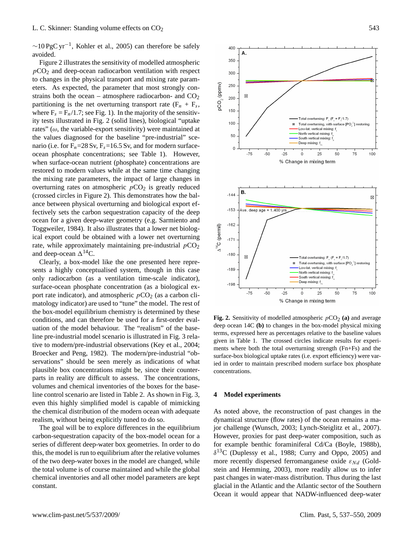$\sim$ 10 PgC yr<sup>-1</sup>, Kohler et al., 2005) can therefore be safely avoided.

Figure 2 illustrates the sensitivity of modelled atmospheric  $pCO<sub>2</sub>$  and deep-ocean radiocarbon ventilation with respect to changes in the physical transport and mixing rate parameters. As expected, the parameter that most strongly constrains both the ocean – atmosphere radiocarbon- and  $CO<sub>2</sub>$ partitioning is the net overturning transport rate  $(F_n + F_s)$ , where  $F_s = F_n/1.7$ ; see Fig. 1). In the majority of the sensitivity tests illustrated in Fig. 2 (solid lines), biological "uptake rates" ( $\omega$ , the variable-export sensitivity) were maintained at the values diagnosed for the baseline "pre-industrial" scenario (i.e. for  $F_n = 28$  Sv,  $F_s = 16.5$  Sv, and for modern surfaceocean phosphate concentrations; see Table 1). However, when surface-ocean nutrient (phosphate) concentrations are restored to modern values while at the same time changing the mixing rate parameters, the impact of large changes in overturning rates on atmospheric  $pCO<sub>2</sub>$  is greatly reduced (crossed circles in Figure 2). This demonstrates how the balance between physical overturning and biological export effectively sets the carbon sequestration capacity of the deep ocean for a given deep-water geometry (e.g. Sarmiento and Toggweiler, 1984). It also illustrates that a lower net biological export could be obtained with a lower net overturning rate, while approximately maintaining pre-industrial  $pCO<sub>2</sub>$ and deep-ocean  $\Delta^{14}$ C.

Clearly, a box-model like the one presented here represents a highly conceptualised system, though in this case only radiocarbon (as a ventilation time-scale indicator), surface-ocean phosphate concentration (as a biological export rate indicator), and atmospheric  $pCO<sub>2</sub>$  (as a carbon climatology indicator) are used to "tune" the model. The rest of the box-model equilibrium chemistry is determined by these conditions, and can therefore be used for a first-order evaluation of the model behaviour. The "realism" of the baseline pre-industrial model scenario is illustrated in Fig. 3 relative to modern/pre-industrial observations (Key et al., 2004; Broecker and Peng, 1982). The modern/pre-industrial "observations" should be seen merely as indications of what plausible box concentrations might be, since their counterparts in reality are difficult to assess. The concentrations, volumes and chemical inventories of the boxes for the baseline control scenario are listed in Table 2. As shown in Fig. 3, even this highly simplified model is capable of mimicking the chemical distribution of the modern ocean with adequate realism, without being explicitly tuned to do so.

The goal will be to explore differences in the equilibrium carbon-sequestration capacity of the box-model ocean for a series of different deep-water box geometries. In order to do this, the model is run to equilibrium after the relative volumes of the two deep-water boxes in the model are changed, while the total volume is of course maintained and while the global chemical inventories and all other model parameters are kept constant.



 $F_{\text{base}}$  deep ocean 14C **(b)** to changes in the box-model physical mixing base-<br>terms, expressed here as percentages relative to the baseline values  $1.$  The crossed circles in the total over the total over the total over the total over the total over the total over the strength ( $F_1$ ) and  $F_2$  $\frac{\partial \Omega}{\partial \Omega}$ , given in Table 1. The crossed circles indicate results for experiments where both the total overturning strength (Fn+Fs) and the **Fig. 2.** Sensitivity of modelled atmospheric  $pCO_2$  (a) and average surface-box biological uptake rates (i.e. export efficiency) were varied in order to maintain prescribed modern surface box phosphate concentrations.

% Change in mixing term

# **4 Model experiments**

As noted above, the reconstruction of past changes in the dynamical structure (flow rates) of the ocean remains a major challenge (Wunsch, 2003; Lynch-Steiglitz et al., 2007). However, proxies for past deep-water composition, such as for example benthic foraminiferal Cd/Ca (Boyle, 1988b),  $\delta^{13}$ C (Duplessy et al., 1988; Curry and Oppo, 2005) and more recently dispersed ferromanganese oxide  $\varepsilon_{Nd}$  (Goldstein and Hemming, 2003), more readily allow us to infer past changes in water-mass distribution. Thus during the last glacial in the Atlantic and the Atlantic sector of the Southern Ocean it would appear that NADW-influenced deep-water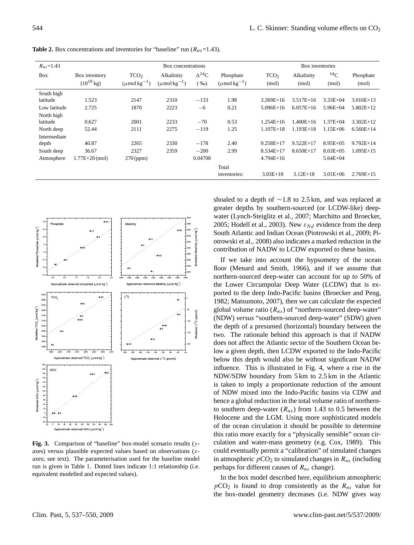| $R_{ns}$ =1.43 |                                 | Box concentrations                                |                                             |                                      |                                            |                           | Box inventories     |                    |                    |  |
|----------------|---------------------------------|---------------------------------------------------|---------------------------------------------|--------------------------------------|--------------------------------------------|---------------------------|---------------------|--------------------|--------------------|--|
| <b>Box</b>     | Box inventory<br>$(10^{19}$ kg) | TCO <sub>2</sub><br>$(\mu$ mol kg <sup>-1</sup> ) | Alkalinity<br>$(\mu$ mol kg <sup>-1</sup> ) | $\Delta^{14}C$<br>( % <sub>0</sub> ) | Phosphate<br>$(\mu$ mol kg <sup>-1</sup> ) | TCO <sub>2</sub><br>(mol) | Alkalinity<br>(mol) | $^{14}$ C<br>(mol) | Phosphate<br>(mol) |  |
| South high     |                                 |                                                   |                                             |                                      |                                            |                           |                     |                    |                    |  |
| latitude       | 1.523                           | 2147                                              | 2310                                        | $-133$                               | 1.98                                       | $3.269E+16$               | $3.517E+16$         | $3.33E + 04$       | $3.016E+13$        |  |
| Low latitude   | 2.725                           | 1870                                              | 2223                                        | $-6$                                 | 0.21                                       | $5.096E+16$               | $6.057E+16$         | $5.96E + 04$       | $5.802E+12$        |  |
| North high     |                                 |                                                   |                                             |                                      |                                            |                           |                     |                    |                    |  |
| latitude       | 0.627                           | 2001                                              | 2233                                        | $-70$                                | 0.53                                       | $1.254E+16$               | $1.400E+16$         | $1.37E + 04$       | $3.302E+12$        |  |
| North deep     | 52.44                           | 2111                                              | 2275                                        | $-119$                               | 1.25                                       | $1.107E + 18$             | $1.193E+18$         | $1.15E + 06$       | $6.560E+14$        |  |
| Intermediate   |                                 |                                                   |                                             |                                      |                                            |                           |                     |                    |                    |  |
| depth          | 40.87                           | 2265                                              | 2330                                        | $-178$                               | 2.40                                       | $9.258E+17$               | $9.522E+17$         | $8.95E + 05$       | $9.792E+14$        |  |
| South deep     | 36.67                           | 2327                                              | 2359                                        | $-200$                               | 2.99                                       | $8.534E+17$               | $8.650E+17$         | $8.03E + 0.5$      | $1.095E+15$        |  |
| Atmosphere     | $1.77E+20$ (mol)                | $270$ (ppm)                                       |                                             | 0.04708                              |                                            | $4.794E+16$               |                     | $5.64E + 04$       |                    |  |
|                |                                 |                                                   |                                             |                                      | Total                                      |                           |                     |                    |                    |  |
|                |                                 |                                                   |                                             |                                      | inventories:                               | $3.03E+18$                | $3.12E+18$          | $3.01E + 06$       | $2.769E+15$        |  |

**Table 2.** Box concentrations and inventories for "baseline" run  $(R_{ns}=1.43)$ .



**Fig. 3.** Comparison of "baseline" box-model scenario results (yaxes) versus plausible expected values based on observations (xaxes; see text). The parameterisation used for the baseline model run is given in Table 1. Dotted lines indicate 1:1 relationship (i.e. equivalent modelled and expected values).

shoaled to a depth of ∼1.8 to 2.5 km, and was replaced at greater depths by southern-sourced (or LCDW-like) deepwater (Lynch-Steiglitz et al., 2007; Marchitto and Broecker, 2005; Hodell et al., 2003). New  $\varepsilon_{Nd}$  evidence from the deep South Atlantic and Indian Ocean (Piotrowski et al., 2009; Piotrowski et al., 2008) also indicates a marked reduction in the contribution of NADW to LCDW exported to these basins.

If we take into account the hypsometry of the ocean floor (Menard and Smith, 1966), and if we assume that northern-sourced deep-water can account for up to 50% of the Lower Circumpolar Deep Water (LCDW) that is exported to the deep Indo-Pacific basins (Broecker and Peng, 1982; Matsumoto, 2007), then we can calculate the expected global volume ratio  $(R_{ns})$  of "northern-sourced deep-water" (NDW) *versus* "southern-sourced deep-water" (SDW) given the depth of a presumed (horizontal) boundary between the two. The rationale behind this approach is that if NADW does not affect the Atlantic sector of the Southern Ocean below a given depth, then LCDW exported to the Indo-Pacific below this depth would also be without significant NADW influence. This is illustrated in Fig. 4, where a rise in the NDW/SDW boundary from 5 km to 2.5 km in the Atlantic is taken to imply a proportionate reduction of the amount of NDW mixed into the Indo-Pacific basins via CDW and hence a global reduction in the total volume ratio of northernto southern deep-water  $(R_{ns})$  from 1.43 to 0.5 between the Holocene and the LGM. Using more sophisticated models of the ocean circulation it should be possible to determine this ratio more exactly for a "physically sensible" ocean circulation and water-mass geometry (e.g. Cox, 1989). This could eventually permit a "calibration" of simulated changes in atmospheric  $pCO_2$  to simulated changes in  $R_{ns}$  (including perhaps for different causes of  $R_{ns}$  change).

In the box model described here, equilibrium atmospheric  $pCO<sub>2</sub>$  is found to drop consistently as the  $R<sub>ns</sub>$  value for the box-model geometry decreases (i.e. NDW gives way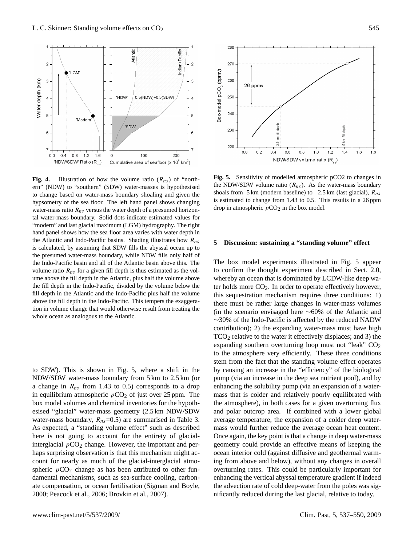

**Fig. 4.** Illustration of how the volume ratio  $(R_{ns})$  of "northern" (NDW) to "southern" (SDW) water-masses is hypothesised the to change based on water-mass boundary shoaling and given the hypsometry of the sea floor. The left hand panel shows changing is is water-mass ratio  $R_{ns}$  versus the water depth of a presumed horizontal water-mass boundary. Solid dots indicate estimated values for "modern" and last glacial maximum (LGM) hydrography. The right hand panel shows how the sea floor area varies with water depth in the Atlantic and Indo-Pacific basins. Shading illustrates how  $R_{ns}$ is calculated, by assuming that SDW fills the abyssal ocean up to the presumed water-mass boundary, while NDW fills only half of the Indo-Pacific basin and all of the Atlantic basin above this. The volume ratio  $R_{ns}$  for a given fill depth is thus estimated as the volume above the fill depth in the Atlantic, plus half the volume above the fill depth in the Indo-Pacific, divided by the volume below the fill depth in the Atlantic and the Indo-Pacific plus half the volume above the fill depth in the Indo-Pacific. This tempers the exaggeration in volume change that would otherwise result from treating the whole ocean as analogous to the Atlantic.

to SDW). This is shown in Fig. 5, where a shift in the NDW/SDW water-mass boundary from 5 km to 2.5 km (or a change in  $R_{ns}$  from 1.43 to 0.5) corresponds to a drop in equilibrium atmospheric  $pCO<sub>2</sub>$  of just over 25 ppm. The box model volumes and chemical inventories for the hypothesised "glacial" water-mass geometry (2.5 km NDW/SDW water-mass boundary,  $R_{ns}$ =0.5) are summarised in Table 3. As expected, a "standing volume effect" such as described here is not going to account for the entirety of glacialinterglacial  $pCO<sub>2</sub>$  change. However, the important and perhaps surprising observation is that this mechanism might account for nearly as much of the glacial-interglacial atmospheric  $pCO<sub>2</sub>$  change as has been attributed to other fundamental mechanisms, such as sea-surface cooling, carbonate compensation, or ocean fertilisation (Sigman and Boyle, 2000; Peacock et al., 2006; Brovkin et al., 2007).



**Fig. 5.** Sensitivity of modelled atmospheric pCO2 to changes in the NDW/SDW volume ratio  $(R_{ns})$ . As the water-mass boundary shoals from  $5 \text{ km}$  (modern baseline) to  $2.5 \text{ km}$  (last glacial),  $R_{ns}$ is estimated to change from 1.43 to 0.5. This results in a 26 ppm drop in atmospheric  $pCO<sub>2</sub>$  in the box model.

# **5 Discussion: sustaining a "standing volume" effect**

by causing an increase in the "efficiency" of the biological The box model experiments illustrated in Fig. 5 appear to confirm the thought experiment described in Sect. 2.0, whereby an ocean that is dominated by LCDW-like deep water holds more  $CO<sub>2</sub>$ . In order to operate effectively however, this sequestration mechanism requires three conditions: 1) there must be rather large changes in water-mass volumes (in the scenario envisaged here ∼60% of the Atlantic and ∼30% of the Indo-Pacific is affected by the reduced NADW contribution); 2) the expanding water-mass must have high  $TCO<sub>2</sub>$  relative to the water it effectively displaces; and 3) the expanding southern overturning loop must not "leak"  $CO<sub>2</sub>$ to the atmosphere very efficiently. These three conditions stem from the fact that the standing volume effect operates pump (via an increase in the deep sea nutrient pool), and by enhancing the solubility pump (via an expansion of a watermass that is colder and relatively poorly equilibrated with the atmosphere), in both cases for a given overturning flux and polar outcrop area. If combined with a lower global average temperature, the expansion of a colder deep watermass would further reduce the average ocean heat content. Once again, the key point is that a change in deep water-mass geometry could provide an effective means of keeping the ocean interior cold (against diffusive and geothermal warming from above and below), without any changes in overall overturning rates. This could be particularly important for enhancing the vertical abyssal temperature gradient if indeed the advection rate of cold deep-water from the poles was significantly reduced during the last glacial, relative to today.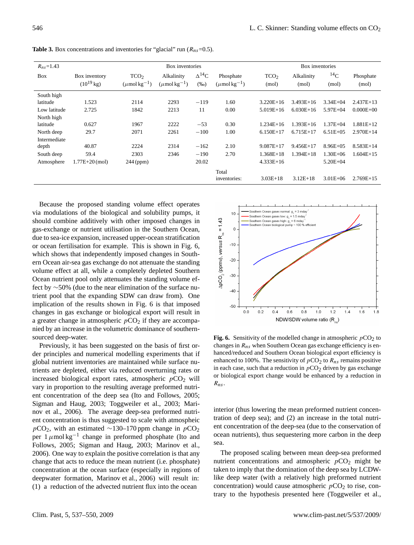| $R_{ns} = 1.43$        |                                 | Box inventories                                   |                                             |                           | Box inventories                            |                           |                     |                    |                    |
|------------------------|---------------------------------|---------------------------------------------------|---------------------------------------------|---------------------------|--------------------------------------------|---------------------------|---------------------|--------------------|--------------------|
| <b>Box</b>             | Box inventory<br>$(10^{19}$ kg) | TCO <sub>2</sub><br>$(\mu$ mol kg <sup>-1</sup> ) | Alkalinity<br>$(\mu$ mol kg <sup>-1</sup> ) | $\Delta^{14}C$<br>$(\%o)$ | Phosphate<br>$(\mu$ mol kg <sup>-1</sup> ) | TCO <sub>2</sub><br>(mol) | Alkalinity<br>(mol) | $^{14}$ C<br>(mol) | Phosphate<br>(mol) |
| South high<br>latitude | 1.523                           | 2114                                              | 2293                                        | $-119$                    | 1.60                                       | $3.220E+16$               | $3.493E+16$         | $3.34E + 04$       | $2.437E+13$        |
| Low latitude           | 2.725                           | 1842                                              | 2213                                        | 11                        | 0.00                                       | $5.019E+16$               | $6.030E+16$         | $5.97E + 04$       | $0.000E + 00$      |
| North high<br>latitude | 0.627                           | 1967                                              | 2222                                        | $-53$                     | 0.30                                       | $1.234E+16$               | $1.393E+16$         | $1.37E + 04$       | 1.881E+12          |
| North deep             | 29.7                            | 2071                                              | 2261                                        | $-100$                    | 1.00                                       | $6.150E+17$               | $6.715E+17$         | $6.51E + 0.5$      | $2.970E+14$        |
| Intermediate<br>depth  | 40.87                           | 2224                                              | 2314                                        | $-162$                    | 2.10                                       | $9.087E+17$               | $9.456E+17$         | $8.96E + 0.5$      | $8.583E+14$        |
| South deep             | 59.4                            | 2303                                              | 2346                                        | $-190$                    | 2.70                                       | 1.368E+18                 | $1.394E+18$         | $1.30E + 06$       | $1.604E+15$        |
| Atmosphere             | $1.77E+20$ (mol)                | $244$ (ppm)                                       |                                             | 20.02                     |                                            | $4.333E+16$               |                     | $5.20E + 04$       |                    |
|                        |                                 |                                                   |                                             |                           | Total<br>inventories:                      | $3.03E+18$                | $3.12E+18$          | $3.01E + 06$       | $2.769E+15$        |

**Table 3.** Box concentrations and inventories for "glacial" run  $(R_{ns}=0.5)$ .

Because the proposed standing volume effect operates via modulations of the biological and solubility pumps, it should combine additively with other imposed changes in gas-exchange or nutrient utilisation in the Southern Ocean, due to sea-ice expansion, increased upper-ocean stratification or ocean fertilisation for example. This is shown in Fig. 6, which shows that independently imposed changes in Southern Ocean air-sea gas exchange do not attenuate the standing volume effect at all, while a completely depleted Southern Ocean nutrient pool only attenuates the standing volume effect by ∼50% (due to the near elimination of the surface nutrient pool that the expanding SDW can draw from). One implication of the results shown in Fig. 6 is that imposed changes in gas exchange or biological export will result in a greater change in atmospheric  $pCO<sub>2</sub>$  if they are accompanied by an increase in the volumetric dominance of southernsourced deep-water.

Previously, it has been suggested on the basis of first order principles and numerical modelling experiments that if global nutrient inventories are maintained while surface nutrients are depleted, either via reduced overturning rates or increased biological export rates, atmospheric  $pCO<sub>2</sub>$  will vary in proportion to the resulting average preformed nutrient concentration of the deep sea (Ito and Follows, 2005; Sigman and Haug, 2003; Toggweiler et al., 2003; Marinov et al., 2006). The average deep-sea preformed nutrient concentration is thus suggested to scale with atmospheic  $pCO<sub>2</sub>$ , with an estimated ∼130–170 ppm change in  $pCO<sub>2</sub>$ per  $1 \mu$ mol kg<sup>-1</sup> change in preformed phosphate (Ito and Follows, 2005; Sigman and Haug, 2003; Marinov et al., 2006). One way to explain the positive correlation is that any change that acts to reduce the mean nutrient (i.e. phosphate) concentration at the ocean surface (especially in regions of deepwater formation, Marinov et al., 2006) will result in: (1) a reduction of the advected nutrient flux into the ocean



**Fig. 6.** Sensitivity of the modelled change in atmospheric  $pCO_2$  to changes in  $R_{ns}$  when Southern Ocean gas exchange efficiency is enhanced/reduced and Southern Ocean biological export efficiency is enhanced to 100%. The sensitivity of  $pCO<sub>2</sub>$  to  $R<sub>ns</sub>$  remains positive in each case, such that a reduction in  $pCO<sub>2</sub>$  driven by gas exchange or biological export change would be enhanced by a reduction in  $R_{ns}$ .

interior (thus lowering the mean preformed nutrient concentration of deep sea); and (2) an increase in the total nutrient concentration of the deep-sea (due to the conservation of ocean nutrients), thus sequestering more carbon in the deep sea.

The proposed scaling between mean deep-sea preformed nutrient concentrations and atmospheric  $pCO<sub>2</sub>$  might be taken to imply that the domination of the deep sea by LCDWlike deep water (with a relatively high preformed nutrient concentration) would cause atmospheric  $pCO<sub>2</sub>$  to rise, contrary to the hypothesis presented here (Toggweiler et al.,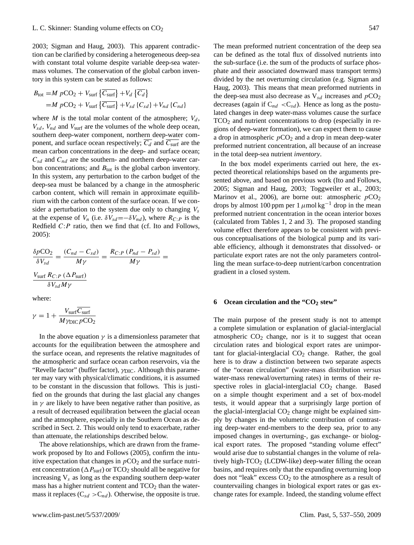2003; Sigman and Haug, 2003). This apparent contradiction can be clarified by considering a heterogeneous deep-sea with constant total volume despite variable deep-sea watermass volumes. The conservation of the global carbon inventory in this system can be stated as follows:

$$
B_{\text{tot}} = M p \text{CO}_2 + V_{\text{surf}} \left\{ \overline{C_{\text{surf}}} \right\} + V_d \left\{ \overline{C_d} \right\}
$$
  
=  $M p \text{CO}_2 + V_{\text{surf}} \left\{ \overline{C_{\text{surf}}} \right\} + V_{sd} \left\{ C_{sd} \right\} + V_{nd} \left\{ C_{nd} \right\}$ 

where M is the total molar content of the atmosphere;  $V_d$ ,  $V_{sd}$ ,  $V_{nd}$  and  $V_{surf}$  are the volumes of the whole deep ocean, southern deep-water component, northern deep-water component, and surface ocean respectively;  $\overline{C_d}$  and  $\overline{C_{\text{surf}}}$  are the mean carbon concentrations in the deep- and surface ocean;  $C_{sd}$  and  $C_{nd}$  are the southern- and northern deep-water carbon concentrations; and  $B_{\text{tot}}$  is the global carbon inventory. In this system, any perturbation to the carbon budget of the deep-sea must be balanced by a change in the atmospheric carbon content, which will remain in approximate equilibrium with the carbon content of the surface ocean. If we consider a perturbation to the system due only to changing  $V_s$ at the expense of  $V_n$  (i.e.  $\delta V_{sd} = -\delta V_{nd}$ ), where  $R_{C:P}$  is the Redfield  $C: P$  ratio, then we find that (cf. Ito and Follows, 2005):

$$
\frac{\delta p \text{CO}_2}{\delta V_{sd}} = \frac{(C_{nd} - C_{sd})}{M\gamma} = \frac{R_{C:P} (P_{nd} - P_{sd})}{M\gamma} = \frac{V_{\text{surf}} R_{C:P} (\Delta P_{\text{surf}})}{\delta V_{sd} M\gamma}
$$

where:

$$
\gamma = 1 + \frac{V_{\text{surf}} \overline{C_{\text{surf}}}}{M \gamma_{\text{DIC}} p \text{CO}_2}
$$

In the above equation  $\gamma$  is a dimensionless parameter that accounts for the equilibration between the atmosphere and the surface ocean, and represents the relative magnitudes of the atmospheric and surface ocean carbon reservoirs, via the "Revelle factor" (buffer factor),  $\gamma_{\text{DIC}}$ . Although this parameter may vary with physical/climatic conditions, it is assumed to be constant in the discussion that follows. This is justified on the grounds that during the last glacial any changes in  $\gamma$  are likely to have been negative rather than positive, as a result of decreased equilibration between the glacial ocean and the atmosphere, especially in the Southern Ocean as described in Sect. 2. This would only tend to exacerbate, rather than attenuate, the relationships described below.

The above relationships, which are drawn from the framework proposed by Ito and Follows (2005), confirm the intuitive expectation that changes in  $pCO<sub>2</sub>$  and the surface nutrient concentration ( $\Delta P_{\text{surf}}$ ) or TCO<sub>2</sub> should all be negative for increasing  $V_s$  as long as the expanding southern deep-water mass has a higher nutrient content and  $TCO<sub>2</sub>$  than the watermass it replaces ( $C_{sd} > C_{nd}$ ). Otherwise, the opposite is true. The mean preformed nutrient concentration of the deep sea can be defined as the total flux of dissolved nutrients into the sub-surface (i.e. the sum of the products of surface phosphate and their associated downward mass transport terms) divided by the net overturning circulation (e.g. Sigman and Haug, 2003). This means that mean preformed nutrients in the deep-sea must also decrease as  $V_{sd}$  increases and  $pCO_2$ decreases (again if  $C_{nd} < C_{sd}$ ). Hence as long as the postulated changes in deep water-mass volumes cause the surface  $TCO<sub>2</sub>$  and nutrient concentrations to drop (especially in regions of deep-water formation), we can expect them to cause a drop in atmospheric  $pCO<sub>2</sub>$  and a drop in mean deep-water preformed nutrient concentration, all because of an increase in the total deep-sea nutrient *inventory*.

In the box model experiments carried out here, the expected theoretical relationships based on the arguments presented above, and based on previous work (Ito and Follows, 2005; Sigman and Haug, 2003; Toggweiler et al., 2003; Marinov et al., 2006), are borne out: atmospheric  $pCO<sub>2</sub>$ drops by almost 100 ppm per 1  $\mu$ mol kg<sup>-1</sup> drop in the mean preformed nutrient concentration in the ocean interior boxes (calculated from Tables 1, 2 and 3). The proposed standing volume effect therefore appears to be consistent with previous conceptualisations of the biological pump and its variable efficiency, although it demonstrates that dissolved- or particulate export rates are not the only parameters controlling the mean surface-to-deep nutrient/carbon concentration gradient in a closed system.

# **6 Ocean circulation and the "CO<sup>2</sup> stew"**

The main purpose of the present study is not to attempt a complete simulation or explanation of glacial-interglacial atmospheric  $CO<sub>2</sub>$  change, nor is it to suggest that ocean circulation rates and biological export rates are unimportant for glacial-interglacial  $CO<sub>2</sub>$  change. Rather, the goal here is to draw a distinction between two separate aspects of the "ocean circulation" (water-mass distribution *versus* water-mass renewal/overturning rates) in terms of their respective roles in glacial-interglacial  $CO<sub>2</sub>$  change. Based on a simple thought experiment and a set of box-model tests, it would appear that a surprisingly large portion of the glacial-interglacial  $CO<sub>2</sub>$  change might be explained simply by changes in the volumetric contribution of contrasting deep-water end-members to the deep sea, prior to any imposed changes in overturning-, gas exchange- or biological export rates. The proposed "standing volume effect" would arise due to substantial changes in the volume of relatively high- $TCO<sub>2</sub>$  (LCDW-like) deep-water filling the ocean basins, and requires only that the expanding overturning loop does not "leak" excess  $CO<sub>2</sub>$  to the atmosphere as a result of countervailing changes in biological export rates or gas exchange rates for example. Indeed, the standing volume effect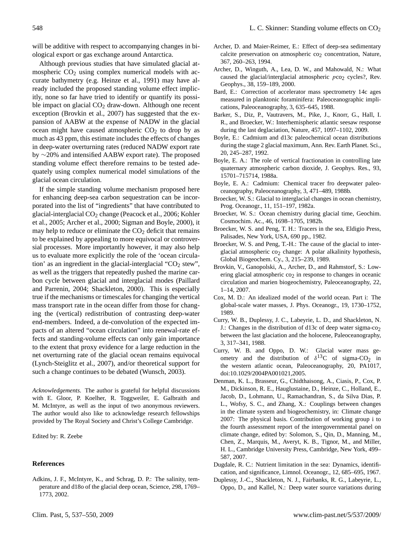will be additive with respect to accompanying changes in biological export or gas exchange around Antarctica.

Although previous studies that have simulated glacial atmospheric  $CO<sub>2</sub>$  using complex numerical models with accurate bathymetry (e.g. Heinze et al., 1991) may have already included the proposed standing volume effect implicitly, none so far have tried to identify or quantify its possible impact on glacial  $CO<sub>2</sub>$  draw-down. Although one recent exception (Brovkin et al., 2007) has suggested that the expansion of AABW at the expense of NADW in the glacial ocean might have caused atmospheric  $CO<sub>2</sub>$  to drop by as much as 43 ppm, this estimate includes the effects of changes in deep-water overturning rates (reduced NADW export rate by ∼20% and intensified AABW export rate). The proposed standing volume effect therefore remains to be tested adequately using complex numerical model simulations of the glacial ocean circulation.

If the simple standing volume mechanism proposed here for enhancing deep-sea carbon sequestration can be incorporated into the list of "ingredients" that have contributed to glacial-interglacial  $CO<sub>2</sub>$  change (Peacock et al., 2006; Kohler et al., 2005; Archer et al., 2000; Sigman and Boyle, 2000), it may help to reduce or eliminate the  $CO<sub>2</sub>$  deficit that remains to be explained by appealing to more equivocal or controversial processes. More importantly however, it may also help us to evaluate more explicitly the role of the 'ocean circulation' as an ingredient in the glacial-interglacial " $CO<sub>2</sub>$  stew", as well as the triggers that repeatedly pushed the marine carbon cycle between glacial and interglacial modes (Paillard and Parrenin, 2004; Shackleton, 2000). This is especially true if the mechanisms or timescales for changing the vertical mass transport rate in the ocean differ from those for changing the (vertical) redistribution of contrasting deep-water end-members. Indeed, a de-convolution of the expected impacts of an altered "ocean circulation" into renewal-rate effects and standing-volume effects can only gain importance to the extent that proxy evidence for a large reduction in the net overturning rate of the glacial ocean remains equivocal (Lynch-Steiglitz et al., 2007), and/or theoretical support for such a change continues to be debated (Wunsch, 2003).

*Acknowledgements.* The author is grateful for helpful discussions with E. Gloor, P. Koelher, R. Toggweiler, E. Galbraith and M. McIntyre, as well as the input of two anonymous reviewers. The author would also like to acknowledge research fellowships provided by The Royal Society and Christ's College Cambridge.

Edited by: R. Zeebe

# **References**

Adkins, J. F., McIntyre, K., and Schrag, D. P.: The salinity, temperature and d18o of the glacial deep ocean, Science, 298, 1769– 1773, 2002.

- Archer, D. and Maier-Reimer, E.: Effect of deep-sea sedimentary calcite preservation on atmospheric  $\cos$  concentration, Nature, 367, 260–263, 1994.
- Archer, D., Winguth, A., Lea, D. W., and Mahowald, N.: What caused the glacial/interglacial atmospheric  $pco<sub>2</sub>$  cycles?, Rev. Geophys., 38, 159–189, 2000.
- Bard, E.: Correction of accelerator mass spectrometry 14c ages measured in planktonic foraminifera: Paleoceanographic implications, Paleoceanography, 3, 635–645, 1988.
- Barker, S., Diz, P., Vautravers, M., Pike, J., Knorr, G., Hall, I. R., and Broecker, W.: Interhemispheric atlantic seesaw response during the last deglaciation, Nature, 457, 1097–1102, 2009.
- Boyle, E.: Cadmium and d13c paleochemical ocean distributions during the stage 2 glacial maximum, Ann. Rev. Earth Planet. Sci., 20, 245–287, 1992.
- Boyle, E. A.: The role of vertical fractionation in controlling late quaternary atmospheric carbon dioxide, J. Geophys. Res., 93, 15701–715714, 1988a.
- Boyle, E. A.: Cadmium: Chemical tracer fro deepwater paleoceanography, Paleoceanography, 3, 471–489, 1988b.
- Broecker, W. S.: Glacial to interglacial changes in ocean chemistry, Prog. Oceanogr., 11, 151–197, 1982a.
- Broecker, W. S.: Ocean chemistry during glacial time, Geochim. Cosmochim. Ac., 46, 1698–1705, 1982b.
- Broecker, W. S. and Peng, T. H.: Tracers in the sea, Eldigio Press, Palisades, New York, USA, 690 pp., 1982.
- Broecker, W. S. and Peng, T.-H.: The cause of the glacial to interglacial atmospheric  $co<sub>2</sub>$  change: A polar alkalinity hypothesis, Global Biogeochem. Cy., 3, 215–239, 1989.
- Brovkin, V., Ganopolski, A., Archer, D., and Rahmstorf, S.: Lowering glacial atmospheric  $\cos_2$  in response to changes in oceanic circulation and marien biogeochemistry, Paleoceanography, 22, 1–14, 2007.
- Cox, M. D.: An idealized model of the world ocean. Part i: The global-scale water masses, J. Phys. Oceanogr., 19, 1730–1752, 1989.
- Curry, W. B., Duplessy, J. C., Labeyrie, L. D., and Shackleton, N. J.: Changes in the distribution of d13c of deep water sigma-co $_2$ between the last glaciation and the holocene, Paleoceanography, 3, 317–341, 1988.
- Curry, W. B. and Oppo, D. W.: Glacial water mass geometry and the distribution of  $\delta^{13}$ C of sigma-CO<sub>2</sub> in the western atlantic ocean, Paleoceanography, 20, PA1017, doi:10.1029/2004PA001021,2005.
- Denman, K. L., Brasseur, G., Chidthaisong, A., Ciasis, P., Cox, P. M., Dickinson, R. E., Hauglustaine, D., Heinze, C., Holland, E., Jacob, D., Lohmann, U., Ramachandran, S., da Silva Dias, P. L., Wofsy, S. C., and Zhang, X.: Couplings between changes in the climate system and biogeochemistry, in: Climate change 2007: The physical basis. Contribution of working group i to the fourth assessment report of the intergovernmental panel on climate change, edited by: Solomon, S., Qin, D., Manning, M., Chen, Z., Marquis, M., Averyt, K. B., Tignor, M., and Miller, H. L., Cambridge University Press, Cambridge, New York, 499– 587, 2007.
- Dugdale, R. C.: Nutrient limitation in the sea: Dynamics, identification, and significance, Limnol. Oceanogr., 12, 685–695, 1967.
- Duplessy, J.-C., Shackleton, N. J., Fairbanks, R. G., Labeyrie, L., Oppo, D., and Kallel, N.: Deep water source variations during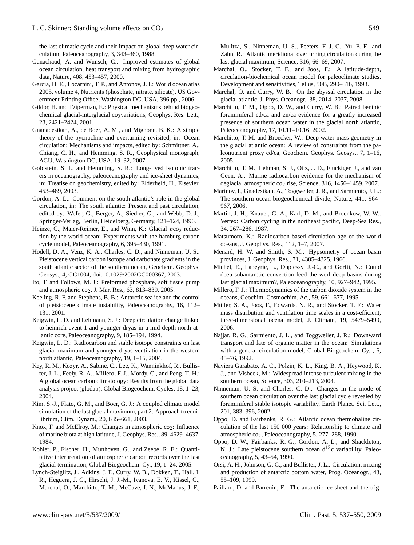the last climatic cycle and their impact on global deep water circulation, Paleoceanography, 3, 343–360, 1988.

- Ganachaud, A. and Wunsch, C.: Improved estimates of global ocean circulation, heat transport and mixing from hydrographic data, Nature, 408, 453–457, 2000.
- Garcia, H. E., Locarnini, T. P., and Antonov, J. I.: World ocean atlas 2005, volume 4, Nutrients (phosphate, nitrate, silicate), US Government Printing Office, Washington DC, USA, 396 pp., 2006.
- Gildor, H. and Tziperman, E.: Physical mechanisms behind biogeochemical glacial-interglacial co<sub>2</sub>variations, Geophys. Res. Lett., 28, 2421–2424, 2001.
- Gnanadesikan, A., de Boer, A. M., and Mignone, B. K.: A simple theory of the pycnocline and overturning revisited, in: Ocean circulation: Mechanisms and impacts, edited by: Schmittner, A., Chiang, C. H., and Hemming, S. R., Geophysical monograph, AGU, Washington DC, USA, 19–32, 2007.
- Goldstein, S. L. and Hemming, S. R.: Long-lived isotopic tracers in oceanography, paleoceanography and ice-sheet dynamics, in: Treatise on geochemistry, edited by: Elderfield, H., Elsevier, 453–489, 2003.
- Gordon, A. L.: Comment on the south atlantic's role in the global circulation, in: The south atlantic: Present and past circulation, edited by: Wefer, G., Berger, A., Siedler, G., and Webb, D. J., Springer-Verlag, Berlin, Heidelberg, Germany, 121–124, 1996.
- Heinze, C., Maier-Reimer, E., and Winn, K.: Glacial pco<sub>2</sub> reduction by the world ocean: Experiments with the hamburg carbon cycle model, Paleoceanography, 6, 395–430, 1991.
- Hodell, D. A., Venz, K. A., Charles, C. D., and Ninneman, U. S.: Pleistocene vertical carbon isotope and carbonate gradients in the south atlantic sector of the southern ocean, Geochem. Geophys. Geosys., 4, GC1004, doi:10.1029/2002GC000367, 2003.
- Ito, T. and Follows, M. J.: Preformed phosphate, soft tissue pump and atmospheric  $\cos_2$ , J. Mar. Res., 63, 813–839, 2005.
- Keeling, R. F. and Stephens, B. B.: Antarctic sea ice and the control of pleistocene climate instability, Paleoceanography, 16, 112– 131, 2001.
- Keigwin, L. D. and Lehmann, S. J.: Deep circulation change linked to heinrich event 1 and younger dryas in a mid-depth north atlantic core, Paleoceanography, 9, 185–194, 1994.
- Keigwin, L. D.: Radiocarbon and stable isotope constraints on last glacial maximum and younger dryas ventilation in the western north atlantic, Paleoceanography, 19, 1–15, 2004.
- Key, R. M., Kozyr, A., Sabine, C., Lee, K., Wanninkhof, R., Bullister, J. L., Feely, R. A., Millero, F. J., Mordy, C., and Peng, T.-H.: A global ocean carbon climatology: Results from the global data analysis project (glodap), Global Biogeochem. Cycles, 18, 1–23, 2004.
- Kim, S.-J., Flato, G. M., and Boer, G. J.: A coupled climate model simulation of the last glacial maximum, part 2: Approach to equilibrium, Clim. Dynam., 20, 635–661, 2003.
- Knox, F. and McElroy, M.: Changes in atmospheric  $co_2$ : Influence of marine biota at high latitude, J. Geophys. Res., 89, 4629–4637, 1984.
- Kohler, P., Fischer, H., Munhoven, G., and Zeebe, R. E.: Quantitative interpretation of atmospheric carbon records over the last glacial termination, Global Biogeochem. Cy., 19, 1–24, 2005.
- Lynch-Steiglitz, J., Adkins, J. F., Curry, W. B., Dokken, T., Hall, I. R., Heguera, J. C., Hirschi, J. J.-M., Ivanova, E. V., Kissel, C., Marchal, O., Marchitto, T. M., McCave, I. N., McManus, J. F.,

Mulitza, S., Ninneman, U. S., Peeters, F. J. C., Yu, E.-F., and Zahn, R.: Atlantic meridional overturning circulation during the last glacial maximum, Science, 316, 66–69, 2007.

- Marchal, O., Stocker, T. F., and Joos, F.: A latitude-depth, circulation-biochemical ocean model for paleoclimate studies. Development and sensitivities, Tellus, 50B, 290–316, 1998.
- Marchal, O. and Curry, W. B.: On the abyssal circulation in the glacial atlantic, J. Phys. Oceanogr., 38, 2014–2037, 2008.
- Marchitto, T. M., Oppo, D. W., and Curry, W. B.: Paired benthic foraminiferal cd/ca and zn/ca evidence for a greatly increased presence of southern ocean water in the glacial north atlantic, Paleoceanography, 17, 10.11–10.16, 2002.
- Marchitto, T. M. and Broecker, W.: Deep water mass geometry in the glacial atlantic ocean: A review of constraints from the paleonutrient proxy cd/ca, Geochem. Geophys. Geosys., 7, 1–16, 2005.
- Marchitto, T. M., Lehman, S. J., Otiz, J. D., Fluckiger, J., and van Geen, A.: Marine radiocarbon evidence for the mechanism of deglacial atmospheric co<sub>2</sub> rise, Science, 316, 1456–1459, 2007.
- Marinov, I., Gnadesikan, A., Toggweiler, J. R., and Sarmiento, J. L.: The southern ocean biogeochemical divide, Nature, 441, 964– 967, 2006.
- Martin, J. H., Knauer, G. A., Karl, D. M., and Broenkow, W. W.: Vertex: Carbon cycling in the northeast pacific, Deep-Sea Res., 34, 267–286, 1987.
- Matsumoto, K.: Radiocarbon-based circulation age of the world oceans, J. Geophys. Res., 112, 1–7, 2007.
- Menard, H. W. and Smith, S. M.: Hypsometry of ocean basin provinces, J. Geophys. Res., 71, 4305–4325, 1966.
- Michel, E., Labeyrie, L., Duplessy, J.-C., and Gorfti, N.: Could deep subantarctic convection feed the worl deep basins during last glacial maximum?, Paleoceanography, 10, 927–942, 1995.
- Millero, F. J.: Thermodynamics of the carbon dioxide system in the oceans, Geochim. Cosmochim. Ac., 59, 661–677, 1995.
- Müller, S. A., Joos, F., Edwards, N. R., and Stocker, T. F.: Water mass distribution and ventilation time scales in a cost-efficient, three-dimensional ocena model, J. Climate, 19, 5479–5499, 2006.
- Najjar, R. G., Sarmiento, J. L., and Toggweiler, J. R.: Downward transport and fate of organic matter in the ocean: Simulations with a general circulation model, Global Biogeochem. Cy. , 6, 45–76, 1992.
- Naviera Garabato, A. C., Polzin, K. L., King, B. A., Heywood, K. J., and Visbeck, M.: Widespread intense turbulent mixing in the southern ocean, Science, 303, 210–213, 2004.
- Ninneman, U. S. and Charles, C. D.: Changes in the mode of southern ocean circulation over the last glacial cycle revealed by foraminiferal stable isotopic variability, Earth Planet. Sci. Lett., 201, 383–396, 2002.
- Oppo, D. and Fairbanks, R. G.: Atlantic ocean thermohaline circulation of the last 150 000 years: Relationship to climate and atmospheric co<sub>2</sub>, Paleoceanography, 5, 277-288, 1990.
- Oppo, D. W., Fairbanks, R. G., Gordon, A. L., and Shackleton, N. J.: Late pleistocene southern ocean  $d^{13}$ c variability, Paleoceanography, 5, 43–54, 1990.
- Orsi, A. H., Johnson, G. C., and Bullister, J. L.: Circulation, mixing and production of antarctic bottom water, Prog. Oceanogr., 43, 55–109, 1999.
- Paillard, D. and Parrenin, F.: The antarctic ice sheet and the trig-